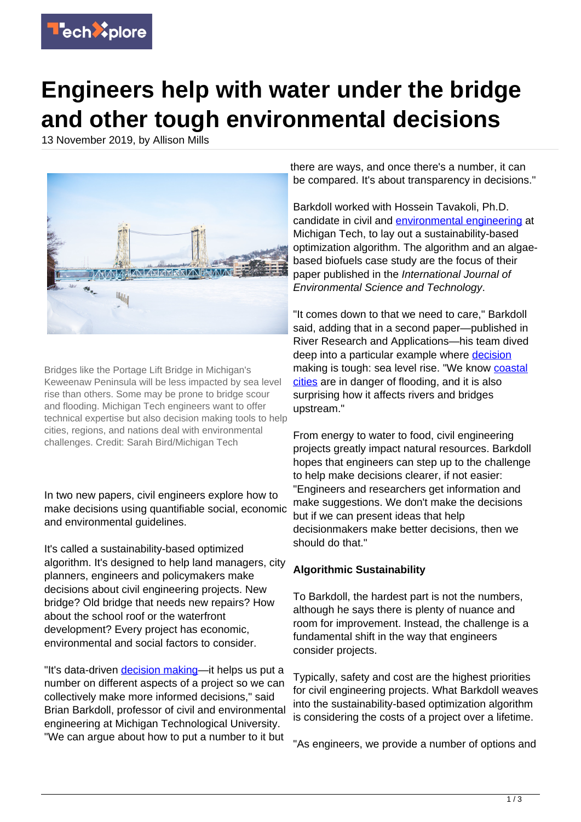

## **Engineers help with water under the bridge and other tough environmental decisions**

13 November 2019, by Allison Mills



Bridges like the Portage Lift Bridge in Michigan's Keweenaw Peninsula will be less impacted by sea level rise than others. Some may be prone to bridge scour and flooding. Michigan Tech engineers want to offer technical expertise but also decision making tools to help cities, regions, and nations deal with environmental challenges. Credit: Sarah Bird/Michigan Tech

In two new papers, civil engineers explore how to make decisions using quantifiable social, economic and environmental guidelines.

It's called a sustainability-based optimized algorithm. It's designed to help land managers, city planners, engineers and policymakers make decisions about civil engineering projects. New bridge? Old bridge that needs new repairs? How about the school roof or the waterfront development? Every project has economic, environmental and social factors to consider.

"It's data-driven [decision making—](https://techxplore.com/tags/decision+making/)it helps us put a number on different aspects of a project so we can collectively make more informed decisions," said Brian Barkdoll, professor of civil and environmental engineering at Michigan Technological University. "We can argue about how to put a number to it but

there are ways, and once there's a number, it can be compared. It's about transparency in decisions."

Barkdoll worked with Hossein Tavakoli, Ph.D. candidate in civil and [environmental engineering](https://techxplore.com/tags/environmental+engineering/) at Michigan Tech, to lay out a sustainability-based optimization algorithm. The algorithm and an algaebased biofuels case study are the focus of their paper published in the International Journal of Environmental Science and Technology.

"It comes down to that we need to care," Barkdoll said, adding that in a second paper—published in River Research and Applications—his team dived deep into a particular example where [decision](https://techxplore.com/tags/decision/) making is tough: sea level rise. "We know [coastal](https://techxplore.com/tags/coastal+cities/) [cities](https://techxplore.com/tags/coastal+cities/) are in danger of flooding, and it is also surprising how it affects rivers and bridges upstream."

From energy to water to food, civil engineering projects greatly impact natural resources. Barkdoll hopes that engineers can step up to the challenge to help make decisions clearer, if not easier: "Engineers and researchers get information and make suggestions. We don't make the decisions but if we can present ideas that help decisionmakers make better decisions, then we should do that."

## **Algorithmic Sustainability**

To Barkdoll, the hardest part is not the numbers, although he says there is plenty of nuance and room for improvement. Instead, the challenge is a fundamental shift in the way that engineers consider projects.

Typically, safety and cost are the highest priorities for civil engineering projects. What Barkdoll weaves into the sustainability-based optimization algorithm is considering the costs of a project over a lifetime.

"As engineers, we provide a number of options and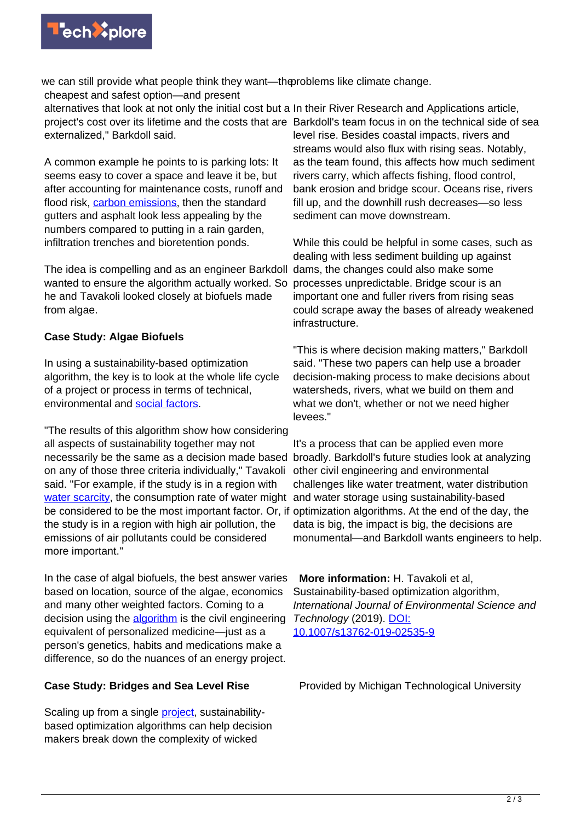

we can still provide what people think they want—thoroblems like climate change. cheapest and safest option—and present

alternatives that look at not only the initial cost but a In their River Research and Applications article, project's cost over its lifetime and the costs that are Barkdoll's team focus in on the technical side of sea externalized," Barkdoll said. level rise. Besides coastal impacts, rivers and

A common example he points to is parking lots: It seems easy to cover a space and leave it be, but after accounting for maintenance costs, runoff and flood risk, [carbon emissions](https://techxplore.com/tags/carbon+emissions/), then the standard gutters and asphalt look less appealing by the numbers compared to putting in a rain garden, infiltration trenches and bioretention ponds.

The idea is compelling and as an engineer Barkdoll wanted to ensure the algorithm actually worked. So he and Tavakoli looked closely at biofuels made from algae.

## **Case Study: Algae Biofuels**

In using a sustainability-based optimization algorithm, the key is to look at the whole life cycle of a project or process in terms of technical, environmental and [social factors](https://techxplore.com/tags/social+factors/).

"The results of this algorithm show how considering all aspects of sustainability together may not necessarily be the same as a decision made based broadly. Barkdoll's future studies look at analyzing on any of those three criteria individually," Tavakoli said. "For example, if the study is in a region with [water scarcity,](https://techxplore.com/tags/water+scarcity/) the consumption rate of water might and water storage using sustainability-based be considered to be the most important factor. Or, if optimization algorithms. At the end of the day, the the study is in a region with high air pollution, the emissions of air pollutants could be considered more important."

In the case of algal biofuels, the best answer varies based on location, source of the algae, economics and many other weighted factors. Coming to a decision using the **algorithm** is the civil engineering equivalent of personalized medicine—just as a person's genetics, habits and medications make a difference, so do the nuances of an energy project.

## **Case Study: Bridges and Sea Level Rise**

Scaling up from a single [project,](https://techxplore.com/tags/project/) sustainabilitybased optimization algorithms can help decision makers break down the complexity of wicked

streams would also flux with rising seas. Notably, as the team found, this affects how much sediment rivers carry, which affects fishing, flood control, bank erosion and bridge scour. Oceans rise, rivers fill up, and the downhill rush decreases—so less sediment can move downstream.

While this could be helpful in some cases, such as dealing with less sediment building up against dams, the changes could also make some processes unpredictable. Bridge scour is an important one and fuller rivers from rising seas could scrape away the bases of already weakened infrastructure.

"This is where decision making matters," Barkdoll said. "These two papers can help use a broader decision-making process to make decisions about watersheds, rivers, what we build on them and what we don't, whether or not we need higher levees."

It's a process that can be applied even more other civil engineering and environmental challenges like water treatment, water distribution data is big, the impact is big, the decisions are monumental—and Barkdoll wants engineers to help.

 **More information:** H. Tavakoli et al, Sustainability-based optimization algorithm, International Journal of Environmental Science and Technology (2019). [DOI:](http://dx.doi.org/10.1007/s13762-019-02535-9) [10.1007/s13762-019-02535-9](http://dx.doi.org/10.1007/s13762-019-02535-9)

Provided by Michigan Technological University